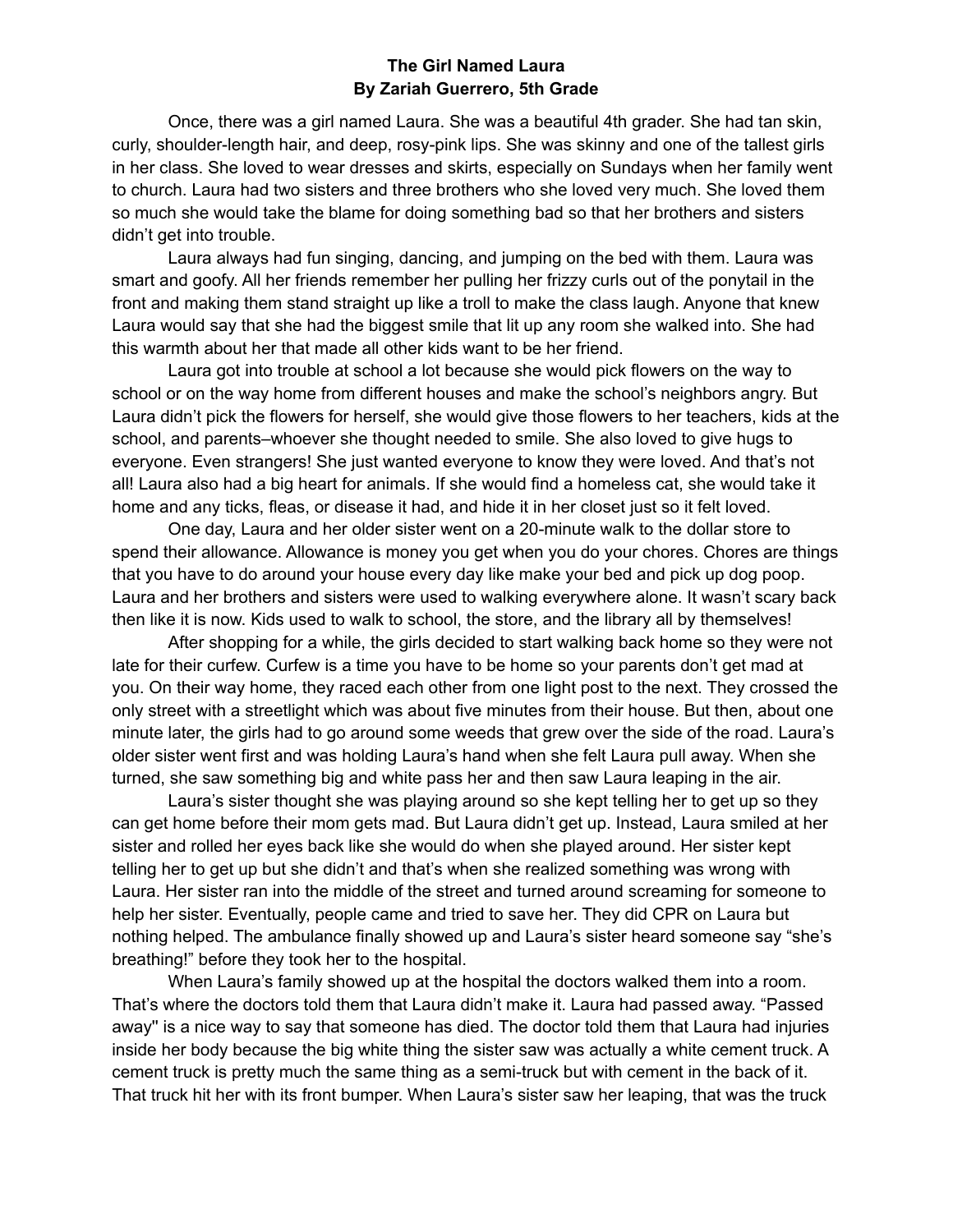## **The Girl Named Laura By Zariah Guerrero, 5th Grade**

Once, there was a girl named Laura. She was a beautiful 4th grader. She had tan skin, curly, shoulder-length hair, and deep, rosy-pink lips. She was skinny and one of the tallest girls in her class. She loved to wear dresses and skirts, especially on Sundays when her family went to church. Laura had two sisters and three brothers who she loved very much. She loved them so much she would take the blame for doing something bad so that her brothers and sisters didn't get into trouble.

Laura always had fun singing, dancing, and jumping on the bed with them. Laura was smart and goofy. All her friends remember her pulling her frizzy curls out of the ponytail in the front and making them stand straight up like a troll to make the class laugh. Anyone that knew Laura would say that she had the biggest smile that lit up any room she walked into. She had this warmth about her that made all other kids want to be her friend.

Laura got into trouble at school a lot because she would pick flowers on the way to school or on the way home from different houses and make the school's neighbors angry. But Laura didn't pick the flowers for herself, she would give those flowers to her teachers, kids at the school, and parents–whoever she thought needed to smile. She also loved to give hugs to everyone. Even strangers! She just wanted everyone to know they were loved. And that's not all! Laura also had a big heart for animals. If she would find a homeless cat, she would take it home and any ticks, fleas, or disease it had, and hide it in her closet just so it felt loved.

One day, Laura and her older sister went on a 20-minute walk to the dollar store to spend their allowance. Allowance is money you get when you do your chores. Chores are things that you have to do around your house every day like make your bed and pick up dog poop. Laura and her brothers and sisters were used to walking everywhere alone. It wasn't scary back then like it is now. Kids used to walk to school, the store, and the library all by themselves!

After shopping for a while, the girls decided to start walking back home so they were not late for their curfew. Curfew is a time you have to be home so your parents don't get mad at you. On their way home, they raced each other from one light post to the next. They crossed the only street with a streetlight which was about five minutes from their house. But then, about one minute later, the girls had to go around some weeds that grew over the side of the road. Laura's older sister went first and was holding Laura's hand when she felt Laura pull away. When she turned, she saw something big and white pass her and then saw Laura leaping in the air.

Laura's sister thought she was playing around so she kept telling her to get up so they can get home before their mom gets mad. But Laura didn't get up. Instead, Laura smiled at her sister and rolled her eyes back like she would do when she played around. Her sister kept telling her to get up but she didn't and that's when she realized something was wrong with Laura. Her sister ran into the middle of the street and turned around screaming for someone to help her sister. Eventually, people came and tried to save her. They did CPR on Laura but nothing helped. The ambulance finally showed up and Laura's sister heard someone say "she's breathing!" before they took her to the hospital.

When Laura's family showed up at the hospital the doctors walked them into a room. That's where the doctors told them that Laura didn't make it. Laura had passed away. "Passed away'' is a nice way to say that someone has died. The doctor told them that Laura had injuries inside her body because the big white thing the sister saw was actually a white cement truck. A cement truck is pretty much the same thing as a semi-truck but with cement in the back of it. That truck hit her with its front bumper. When Laura's sister saw her leaping, that was the truck